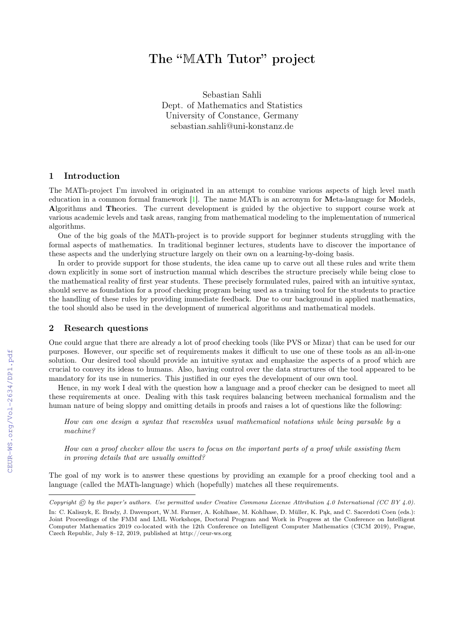# The "MATh Tutor" project

Sebastian Sahli Dept. of Mathematics and Statistics University of Constance, Germany sebastian.sahli@uni-konstanz.de

## 1 Introduction

The MATh-project I'm involved in originated in an attempt to combine various aspects of high level math education in a common formal framework [\[1\]](#page--1-0). The name MATh is an acronym for Meta-language for Models, Algorithms and Theories. The current development is guided by the objective to support course work at various academic levels and task areas, ranging from mathematical modeling to the implementation of numerical algorithms.

One of the big goals of the MATh-project is to provide support for beginner students struggling with the formal aspects of mathematics. In traditional beginner lectures, students have to discover the importance of these aspects and the underlying structure largely on their own on a learning-by-doing basis.

In order to provide support for those students, the idea came up to carve out all these rules and write them down explicitly in some sort of instruction manual which describes the structure precisely while being close to the mathematical reality of first year students. These precisely formulated rules, paired with an intuitive syntax, should serve as foundation for a proof checking program being used as a training tool for the students to practice the handling of these rules by providing immediate feedback. Due to our background in applied mathematics, the tool should also be used in the development of numerical algorithms and mathematical models.

## 2 Research questions

One could argue that there are already a lot of proof checking tools (like PVS or Mizar) that can be used for our purposes. However, our specific set of requirements makes it difficult to use one of these tools as an all-in-one solution. Our desired tool should provide an intuitive syntax and emphasize the aspects of a proof which are crucial to convey its ideas to humans. Also, having control over the data structures of the tool appeared to be mandatory for its use in numerics. This justified in our eyes the development of our own tool.

Hence, in my work I deal with the question how a language and a proof checker can be designed to meet all these requirements at once. Dealing with this task requires balancing between mechanical formalism and the human nature of being sloppy and omitting details in proofs and raises a lot of questions like the following:

How can one design a syntax that resembles usual mathematical notations while being parsable by a machine?

How can a proof checker allow the users to focus on the important parts of a proof while assisting them in proving details that are usually omitted?

The goal of my work is to answer these questions by providing an example for a proof checking tool and a language (called the MATh-language) which (hopefully) matches all these requirements.

Copyright  $\odot$  by the paper's authors. Use permitted under Creative Commons License Attribution 4.0 International (CC BY 4.0). In: C. Kaliszyk, E. Brady, J. Davenport, W.M. Farmer, A. Kohlhase, M. Kohlhase, D. Müller, K. Pąk, and C. Sacerdoti Coen (eds.): Joint Proceedings of the FMM and LML Workshops, Doctoral Program and Work in Progress at the Conference on Intelligent Computer Mathematics 2019 co-located with the 12th Conference on Intelligent Computer Mathematics (CICM 2019), Prague, Czech Republic, July 8–12, 2019, published at http://ceur-ws.org